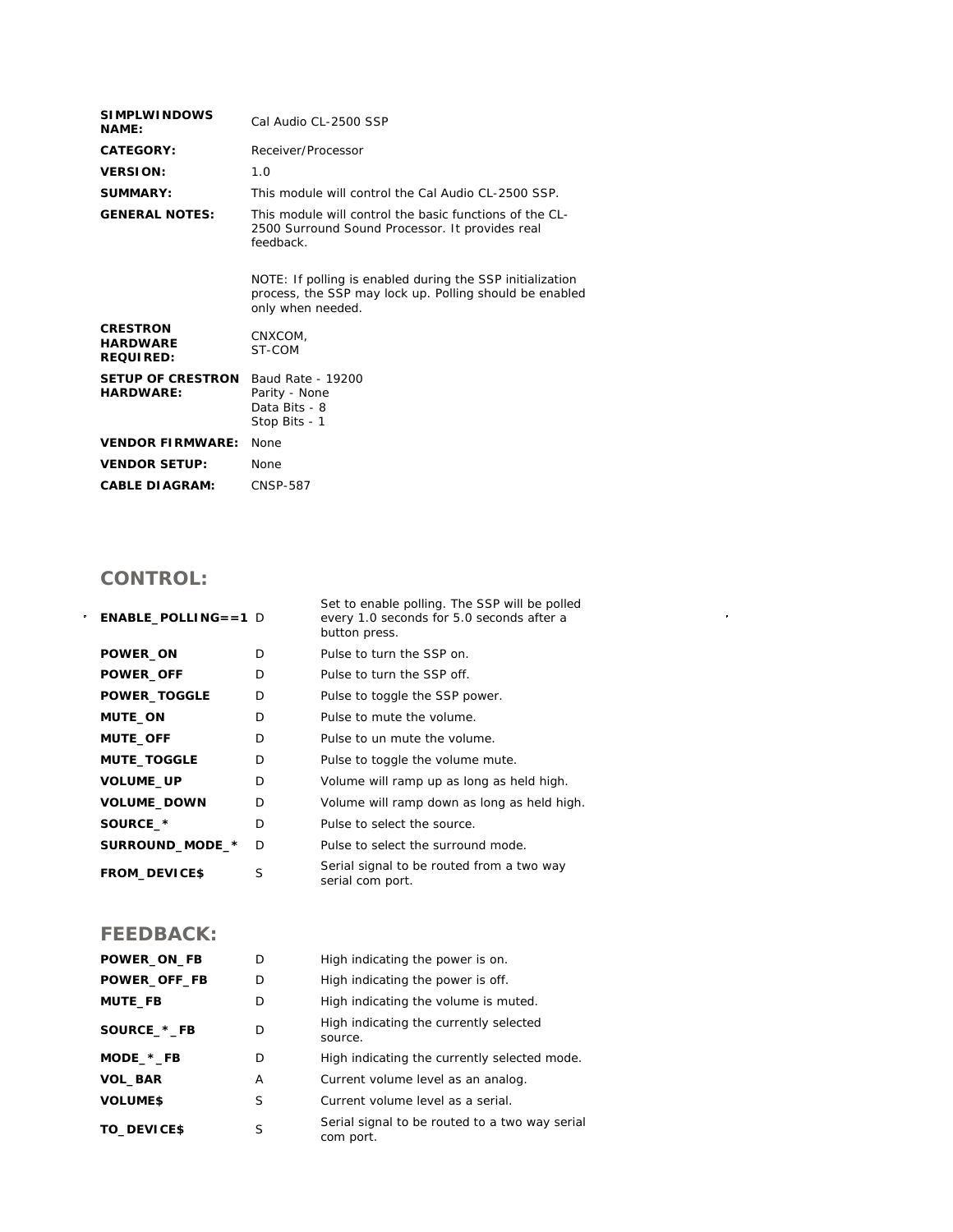| <b>SIMPLWINDOWS</b><br><b>NAME:</b>                    | Cal Audio CL-2500 SSP                                                                                                                     |  |  |
|--------------------------------------------------------|-------------------------------------------------------------------------------------------------------------------------------------------|--|--|
| CATEGORY:                                              | Receiver/Processor                                                                                                                        |  |  |
| <b>VERSION:</b>                                        | 1.0                                                                                                                                       |  |  |
| SUMMARY:                                               | This module will control the Cal Audio CL-2500 SSP.                                                                                       |  |  |
| <b>GENERAL NOTES:</b>                                  | This module will control the basic functions of the CL-<br>2500 Surround Sound Processor. It provides real<br>feedback.                   |  |  |
|                                                        | NOTE: If polling is enabled during the SSP initialization<br>process, the SSP may lock up. Polling should be enabled<br>only when needed. |  |  |
| <b>CRESTRON</b><br><b>HARDWARE</b><br><b>REQUIRED:</b> | CNXCOM.<br>ST-COM                                                                                                                         |  |  |
| <b>SETUP OF CRESTRON</b><br><b>HARDWARE:</b>           | Baud Rate - 19200<br>Parity - None<br>Data Bits - 8<br>Stop Bits - 1                                                                      |  |  |
| <b>VENDOR FIRMWARE:</b>                                | None                                                                                                                                      |  |  |
| <b>VENDOR SETUP:</b>                                   | <b>None</b>                                                                                                                               |  |  |
| <b>CABLE DIAGRAM:</b>                                  | <b>CNSP-587</b>                                                                                                                           |  |  |
|                                                        |                                                                                                                                           |  |  |

## **CONTROL:**

| <b>ENABLE_POLLING==1 D</b> |   | Set to enable polling. The SSP will be polled<br>every 1.0 seconds for 5.0 seconds after a<br>button press. |
|----------------------------|---|-------------------------------------------------------------------------------------------------------------|
| POWER_ON                   | D | Pulse to turn the SSP on.                                                                                   |
| <b>POWER OFF</b>           | D | Pulse to turn the SSP off.                                                                                  |
| <b>POWER_TOGGLE</b>        | D | Pulse to toggle the SSP power.                                                                              |
| <b>MUTE_ON</b>             | D | Pulse to mute the volume.                                                                                   |
| <b>MUTE_OFF</b>            | D | Pulse to un mute the volume.                                                                                |
| <b>MUTE_TOGGLE</b>         | D | Pulse to toggle the volume mute.                                                                            |
| VOLUME_UP                  | D | Volume will ramp up as long as held high.                                                                   |
| <b>VOLUME_DOWN</b>         | D | Volume will ramp down as long as held high.                                                                 |
| SOURCE_*                   | D | Pulse to select the source.                                                                                 |
| SURROUND_MODE_*            | D | Pulse to select the surround mode.                                                                          |
| <b>FROM_DEVICE\$</b>       | S | Serial signal to be routed from a two way<br>serial com port.                                               |

 $\mathcal{L}^{\text{max}}_{\text{max}}$  and  $\mathcal{L}^{\text{max}}_{\text{max}}$ 

## **FEEDBACK:**

| POWER_ON_FB    | D | High indicating the power is on.                            |
|----------------|---|-------------------------------------------------------------|
| POWER_OFF_FB   | D | High indicating the power is off.                           |
| <b>MUTE_FB</b> | D | High indicating the volume is muted.                        |
| SOURCE_*_FB    | D | High indicating the currently selected<br>source.           |
| $MODE.*_FB$    | D | High indicating the currently selected mode.                |
| <b>VOL_BAR</b> | A | Current volume level as an analog.                          |
| <b>VOLUMES</b> | S | Current volume level as a serial.                           |
| TO_DEVICE\$    | S | Serial signal to be routed to a two way serial<br>com port. |